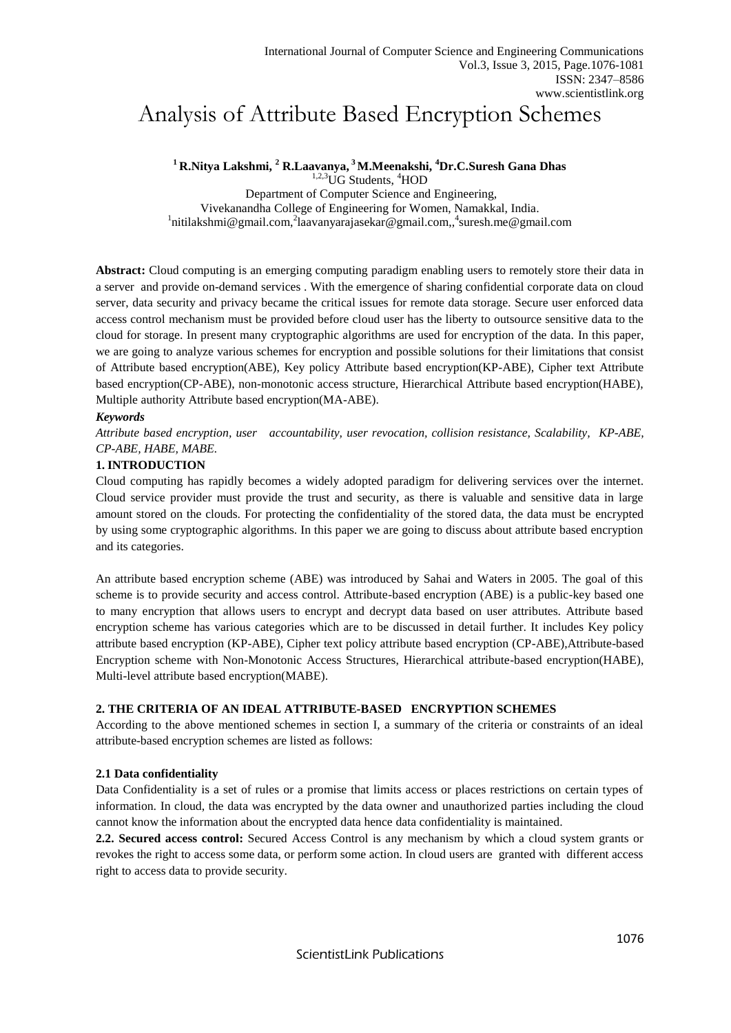# Analysis of Attribute Based Encryption Schemes

**<sup>1</sup> R.Nitya Lakshmi, <sup>2</sup> R.Laavanya, <sup>3</sup>M.Meenakshi, <sup>4</sup>Dr.C.Suresh Gana Dhas**

<sup>1,2,3</sup>UG Students, <sup>4</sup>HOD Department of Computer Science and Engineering, Vivekanandha College of Engineering for Women, Namakkal, India. <sup>1</sup>nitilakshmi@gmail.com,<sup>2</sup>laavanyarajasekar@gmail.com,,<sup>4</sup>suresh.me@gmail.com

**Abstract:** Cloud computing is an emerging computing paradigm enabling users to remotely store their data in a server and provide on-demand services . With the emergence of sharing confidential corporate data on cloud server, data security and privacy became the critical issues for remote data storage. Secure user enforced data access control mechanism must be provided before cloud user has the liberty to outsource sensitive data to the cloud for storage. In present many cryptographic algorithms are used for encryption of the data. In this paper, we are going to analyze various schemes for encryption and possible solutions for their limitations that consist of Attribute based encryption(ABE), Key policy Attribute based encryption(KP-ABE), Cipher text Attribute based encryption(CP-ABE), non-monotonic access structure, Hierarchical Attribute based encryption(HABE), Multiple authority Attribute based encryption(MA-ABE).

# *Keywords*

*Attribute based encryption, user accountability, user revocation, collision resistance, Scalability, KP-ABE, CP-ABE, HABE, MABE.* 

## **1. INTRODUCTION**

Cloud computing has rapidly becomes a widely adopted paradigm for delivering services over the internet. Cloud service provider must provide the trust and security, as there is valuable and sensitive data in large amount stored on the clouds. For protecting the confidentiality of the stored data, the data must be encrypted by using some cryptographic algorithms. In this paper we are going to discuss about attribute based encryption and its categories.

An attribute based encryption scheme (ABE) was introduced by Sahai and Waters in 2005. The goal of this scheme is to provide security and access control. Attribute-based encryption (ABE) is a public-key based one to many encryption that allows users to encrypt and decrypt data based on user attributes. Attribute based encryption scheme has various categories which are to be discussed in detail further. It includes Key policy attribute based encryption (KP-ABE), Cipher text policy attribute based encryption (CP-ABE),Attribute-based Encryption scheme with Non-Monotonic Access Structures, Hierarchical attribute-based encryption(HABE), Multi-level attribute based encryption(MABE).

# **2. THE CRITERIA OF AN IDEAL ATTRIBUTE-BASED ENCRYPTION SCHEMES**

According to the above mentioned schemes in section I, a summary of the criteria or constraints of an ideal attribute-based encryption schemes are listed as follows:

## **2.1 Data confidentiality**

Data Confidentiality is a set of rules or a promise that limits access or places restrictions on certain types of information. In cloud, the data was encrypted by the data owner and unauthorized parties including the cloud cannot know the information about the encrypted data hence data confidentiality is maintained.

**2.2. Secured access control:** Secured Access Control is any mechanism by which a cloud system grants or revokes the right to access some data, or perform some action. In cloud users are granted with different access right to access data to provide security.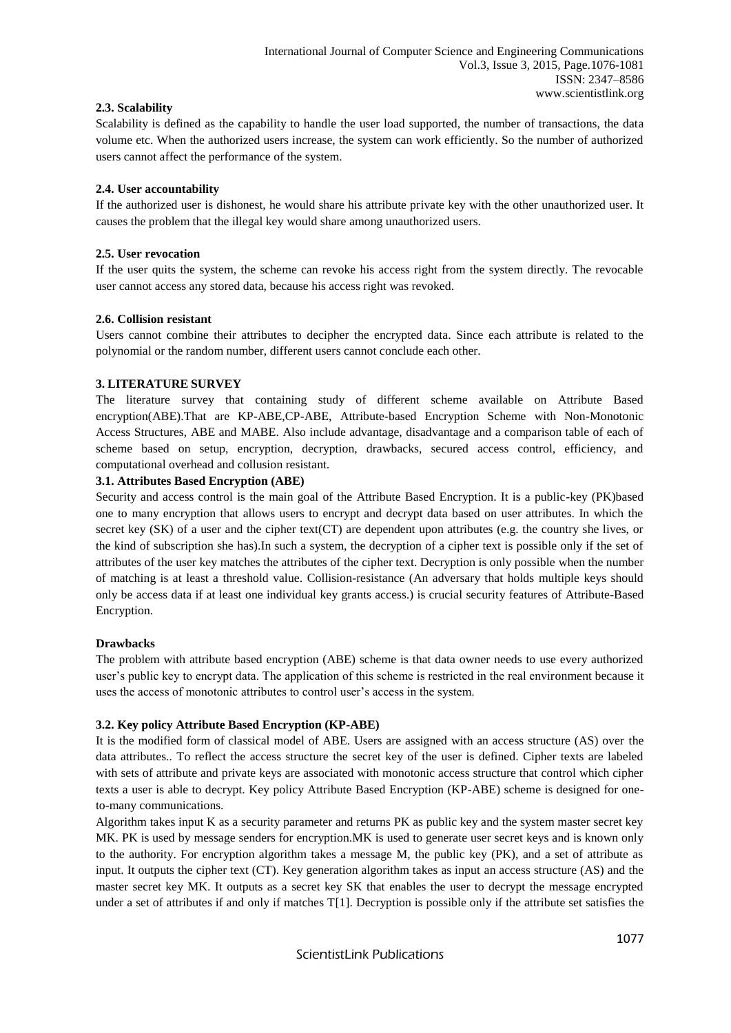# **2.3. Scalability**

Scalability is defined as the capability to handle the user load supported, the number of transactions, the data volume etc. When the authorized users increase, the system can work efficiently. So the number of authorized users cannot affect the performance of the system.

# **2.4. User accountability**

If the authorized user is dishonest, he would share his attribute private key with the other unauthorized user. It causes the problem that the illegal key would share among unauthorized users.

# **2.5. User revocation**

If the user quits the system, the scheme can revoke his access right from the system directly. The revocable user cannot access any stored data, because his access right was revoked.

# **2.6. Collision resistant**

Users cannot combine their attributes to decipher the encrypted data. Since each attribute is related to the polynomial or the random number, different users cannot conclude each other.

# **3. LITERATURE SURVEY**

The literature survey that containing study of different scheme available on Attribute Based encryption(ABE).That are KP-ABE,CP-ABE, Attribute-based Encryption Scheme with Non-Monotonic Access Structures, ABE and MABE. Also include advantage, disadvantage and a comparison table of each of scheme based on setup, encryption, decryption, drawbacks, secured access control, efficiency, and computational overhead and collusion resistant.

# **3.1. Attributes Based Encryption (ABE)**

Security and access control is the main goal of the Attribute Based Encryption. It is a public-key (PK)based one to many encryption that allows users to encrypt and decrypt data based on user attributes. In which the secret key (SK) of a user and the cipher text(CT) are dependent upon attributes (e.g. the country she lives, or the kind of subscription she has).In such a system, the decryption of a cipher text is possible only if the set of attributes of the user key matches the attributes of the cipher text. Decryption is only possible when the number of matching is at least a threshold value. Collision-resistance (An adversary that holds multiple keys should only be access data if at least one individual key grants access.) is crucial security features of Attribute-Based Encryption.

## **Drawbacks**

The problem with attribute based encryption (ABE) scheme is that data owner needs to use every authorized user's public key to encrypt data. The application of this scheme is restricted in the real environment because it uses the access of monotonic attributes to control user's access in the system.

# **3.2. Key policy Attribute Based Encryption (KP-ABE)**

It is the modified form of classical model of ABE. Users are assigned with an access structure (AS) over the data attributes.. To reflect the access structure the secret key of the user is defined. Cipher texts are labeled with sets of attribute and private keys are associated with monotonic access structure that control which cipher texts a user is able to decrypt. Key policy Attribute Based Encryption (KP-ABE) scheme is designed for oneto-many communications.

Algorithm takes input K as a security parameter and returns PK as public key and the system master secret key MK. PK is used by message senders for encryption.MK is used to generate user secret keys and is known only to the authority. For encryption algorithm takes a message M, the public key (PK), and a set of attribute as input. It outputs the cipher text (CT). Key generation algorithm takes as input an access structure (AS) and the master secret key MK. It outputs as a secret key SK that enables the user to decrypt the message encrypted under a set of attributes if and only if matches T[1]. Decryption is possible only if the attribute set satisfies the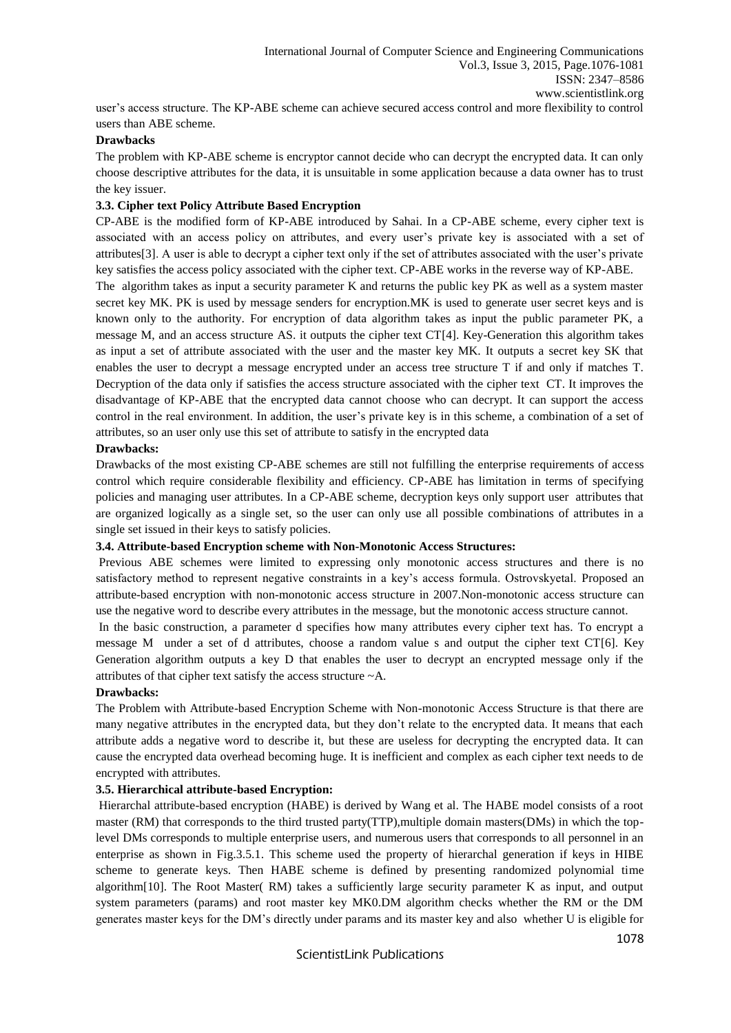user's access structure. The KP-ABE scheme can achieve secured access control and more flexibility to control users than ABE scheme.

## **Drawbacks**

The problem with KP-ABE scheme is encryptor cannot decide who can decrypt the encrypted data. It can only choose descriptive attributes for the data, it is unsuitable in some application because a data owner has to trust the key issuer.

## **3.3. Cipher text Policy Attribute Based Encryption**

CP-ABE is the modified form of KP-ABE introduced by Sahai. In a CP-ABE scheme, every cipher text is associated with an access policy on attributes, and every user's private key is associated with a set of attributes[3]. A user is able to decrypt a cipher text only if the set of attributes associated with the user's private key satisfies the access policy associated with the cipher text. CP-ABE works in the reverse way of KP-ABE.

The algorithm takes as input a security parameter K and returns the public key PK as well as a system master secret key MK. PK is used by message senders for encryption.MK is used to generate user secret keys and is known only to the authority. For encryption of data algorithm takes as input the public parameter PK, a message M, and an access structure AS. it outputs the cipher text CT[4]. Key-Generation this algorithm takes as input a set of attribute associated with the user and the master key MK. It outputs a secret key SK that enables the user to decrypt a message encrypted under an access tree structure T if and only if matches T. Decryption of the data only if satisfies the access structure associated with the cipher text CT. It improves the disadvantage of KP-ABE that the encrypted data cannot choose who can decrypt. It can support the access control in the real environment. In addition, the user's private key is in this scheme, a combination of a set of attributes, so an user only use this set of attribute to satisfy in the encrypted data

# **Drawbacks:**

Drawbacks of the most existing CP-ABE schemes are still not fulfilling the enterprise requirements of access control which require considerable flexibility and efficiency. CP-ABE has limitation in terms of specifying policies and managing user attributes. In a CP-ABE scheme, decryption keys only support user attributes that are organized logically as a single set, so the user can only use all possible combinations of attributes in a single set issued in their keys to satisfy policies.

#### **3.4. Attribute-based Encryption scheme with Non-Monotonic Access Structures:**

Previous ABE schemes were limited to expressing only monotonic access structures and there is no satisfactory method to represent negative constraints in a key's access formula. Ostrovskyetal. Proposed an attribute-based encryption with non-monotonic access structure in 2007.Non-monotonic access structure can use the negative word to describe every attributes in the message, but the monotonic access structure cannot.

In the basic construction, a parameter d specifies how many attributes every cipher text has. To encrypt a message M under a set of d attributes, choose a random value s and output the cipher text CT[6]. Key Generation algorithm outputs a key D that enables the user to decrypt an encrypted message only if the attributes of that cipher text satisfy the access structure ~A.

#### **Drawbacks:**

The Problem with Attribute-based Encryption Scheme with Non-monotonic Access Structure is that there are many negative attributes in the encrypted data, but they don't relate to the encrypted data. It means that each attribute adds a negative word to describe it, but these are useless for decrypting the encrypted data. It can cause the encrypted data overhead becoming huge. It is inefficient and complex as each cipher text needs to de encrypted with attributes.

#### **3.5. Hierarchical attribute-based Encryption:**

Hierarchal attribute-based encryption (HABE) is derived by Wang et al. The HABE model consists of a root master (RM) that corresponds to the third trusted party(TTP),multiple domain masters(DMs) in which the toplevel DMs corresponds to multiple enterprise users, and numerous users that corresponds to all personnel in an enterprise as shown in Fig.3.5.1. This scheme used the property of hierarchal generation if keys in HIBE scheme to generate keys. Then HABE scheme is defined by presenting randomized polynomial time algorithm[10]. The Root Master( RM) takes a sufficiently large security parameter K as input, and output system parameters (params) and root master key MK0.DM algorithm checks whether the RM or the DM generates master keys for the DM's directly under params and its master key and also whether U is eligible for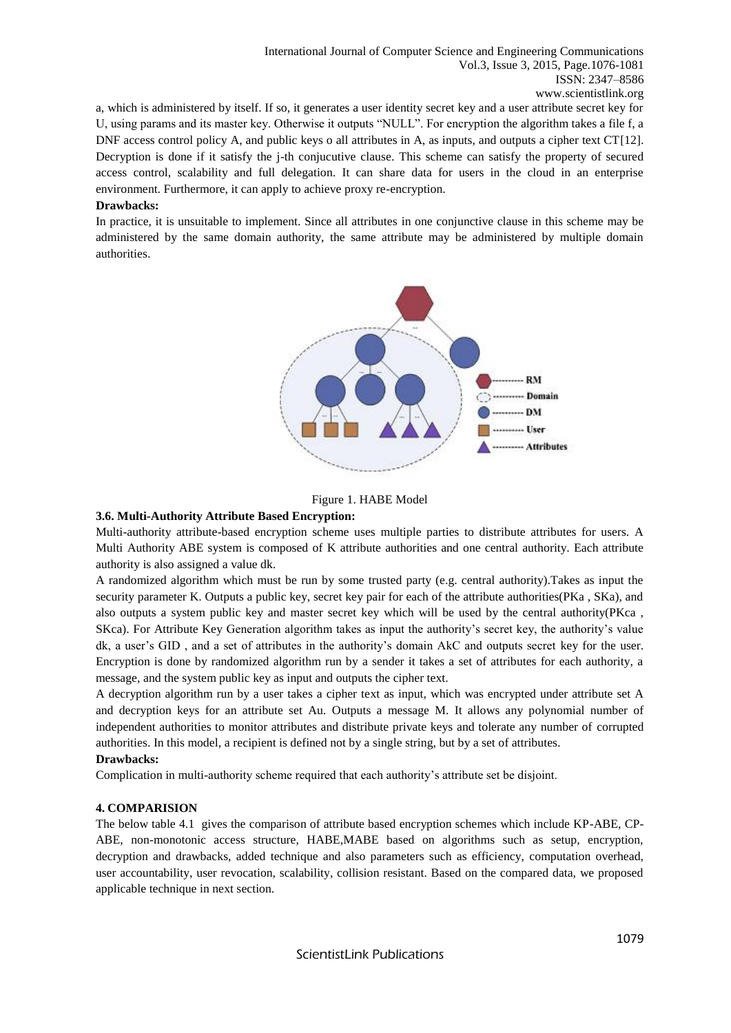a, which is administered by itself. If so, it generates a user identity secret key and a user attribute secret key for U, using params and its master key. Otherwise it outputs "NULL". For encryption the algorithm takes a file f, a DNF access control policy A, and public keys o all attributes in A, as inputs, and outputs a cipher text CT[12]. Decryption is done if it satisfy the j-th conjucutive clause. This scheme can satisfy the property of secured access control, scalability and full delegation. It can share data for users in the cloud in an enterprise environment. Furthermore, it can apply to achieve proxy re-encryption.

#### **Drawbacks:**

In practice, it is unsuitable to implement. Since all attributes in one conjunctive clause in this scheme may be administered by the same domain authority, the same attribute may be administered by multiple domain authorities.





#### **3.6. Multi-Authority Attribute Based Encryption:**

Multi-authority attribute-based encryption scheme uses multiple parties to distribute attributes for users. A Multi Authority ABE system is composed of K attribute authorities and one central authority. Each attribute authority is also assigned a value dk.

A randomized algorithm which must be run by some trusted party (e.g. central authority).Takes as input the security parameter K. Outputs a public key, secret key pair for each of the attribute authorities(PKa , SKa), and also outputs a system public key and master secret key which will be used by the central authority(PKca , SKca). For Attribute Key Generation algorithm takes as input the authority's secret key, the authority's value dk, a user's GID , and a set of attributes in the authority's domain AkC and outputs secret key for the user. Encryption is done by randomized algorithm run by a sender it takes a set of attributes for each authority, a message, and the system public key as input and outputs the cipher text.

A decryption algorithm run by a user takes a cipher text as input, which was encrypted under attribute set A and decryption keys for an attribute set Au. Outputs a message M. It allows any polynomial number of independent authorities to monitor attributes and distribute private keys and tolerate any number of corrupted authorities. In this model, a recipient is defined not by a single string, but by a set of attributes.

## **Drawbacks:**

Complication in multi-authority scheme required that each authority's attribute set be disjoint.

## **4. COMPARISION**

The below table 4.1 gives the comparison of attribute based encryption schemes which include KP-ABE, CP-ABE, non-monotonic access structure, HABE,MABE based on algorithms such as setup, encryption, decryption and drawbacks, added technique and also parameters such as efficiency, computation overhead, user accountability, user revocation, scalability, collision resistant. Based on the compared data, we proposed applicable technique in next section.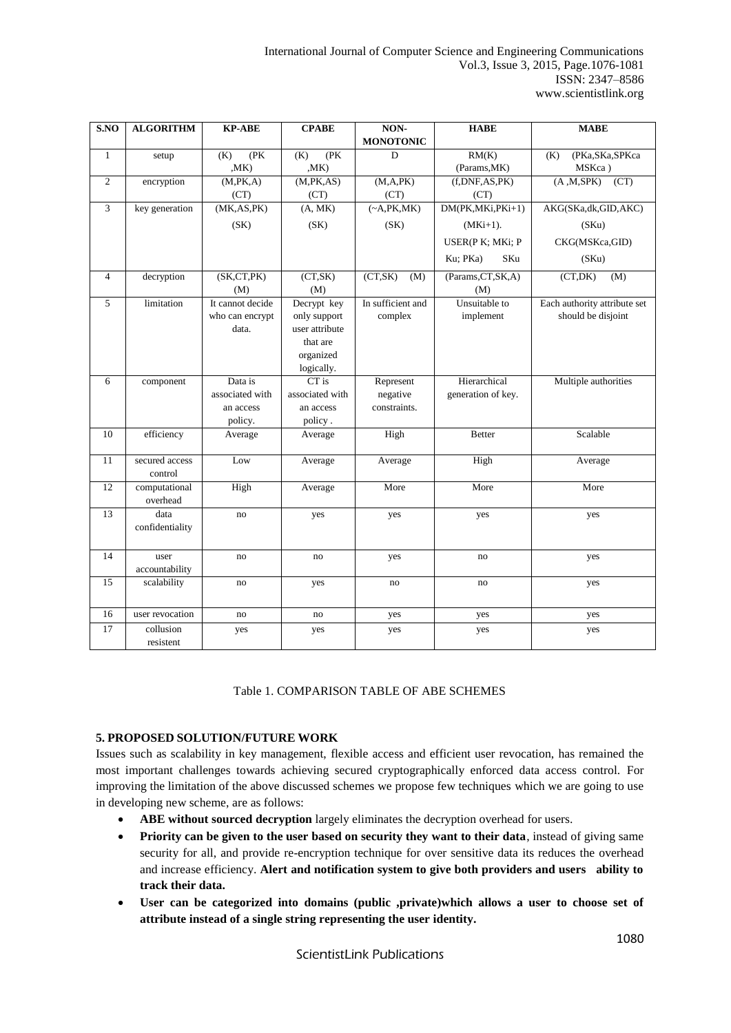International Journal of Computer Science and Engineering Communications Vol.3, Issue 3, 2015, Page.1076-1081 ISSN: 2347–8586 www.scientistlink.org

| S.NO           | <b>ALGORITHM</b>          | <b>KP-ABE</b>    | <b>CPABE</b>          | NON-               | <b>HABE</b>         | <b>MABE</b>                  |
|----------------|---------------------------|------------------|-----------------------|--------------------|---------------------|------------------------------|
|                |                           |                  |                       | <b>MONOTONIC</b>   |                     |                              |
| $\mathbf{1}$   | setup                     | (PK<br>(K)       | (PK<br>(K)            | D                  | RM(K)               | (PKa,SKa,SPKca<br>(K)        |
|                |                           | M <sub>K</sub>   | M <sub>K</sub>        |                    | (Params, MK)        | MSKca)                       |
| $\overline{c}$ | encryption                | (M, PK, A)       | (M, PK, AS)           | (M, A, PK)         | (f, DNF, AS, PK)    | (A, M, SPK)<br>(CT)          |
|                |                           | (CT)             | (CT)                  | (CT)               | (CT)                |                              |
| 3              | key generation            | (MK, AS, PK)     | (A, MK)               | $(\sim A, PK, MK)$ | DM(PK,MKi,PKi+1)    | AKG(SKa,dk,GID,AKC)          |
|                |                           | (SK)             | (SK)                  | (SK)               | $(MKi+1)$ .         | (SKu)                        |
|                |                           |                  |                       |                    | USER(P K; MKi; P    | CKG(MSKca,GID)               |
|                |                           |                  |                       |                    | Ku; PKa)<br>SKu     | (SKu)                        |
| $\overline{4}$ | decryption                | (SK, CT, PK)     | (CT, SK)              | (CT, SK)<br>(M)    | (Params, CT, SK, A) | (CT, DK)<br>(M)              |
|                |                           | (M)              | (M)                   |                    | (M)                 |                              |
| 5              | limitation                | It cannot decide | Decrypt key           | In sufficient and  | Unsuitable to       | Each authority attribute set |
|                |                           | who can encrypt  | only support          | complex            | implement           | should be disjoint           |
|                |                           | data.            | user attribute        |                    |                     |                              |
|                |                           |                  | that are<br>organized |                    |                     |                              |
|                |                           |                  | logically.            |                    |                     |                              |
| 6              | component                 | Data is          | $CT$ is               | Represent          | Hierarchical        | Multiple authorities         |
|                |                           | associated with  | associated with       | negative           | generation of key.  |                              |
|                |                           | an access        | an access             | constraints.       |                     |                              |
|                |                           | policy.          | policy.               |                    |                     |                              |
| 10             | efficiency                | Average          | Average               | High               | <b>Better</b>       | Scalable                     |
|                |                           |                  |                       |                    |                     |                              |
| 11             | secured access            | Low              | Average               | Average            | High                | Average                      |
|                | control                   |                  |                       |                    |                     |                              |
| 12             | computational<br>overhead | High             | Average               | More               | More                | More                         |
| 13             | data                      | no               | yes                   | yes                | yes                 | yes                          |
|                | confidentiality           |                  |                       |                    |                     |                              |
|                |                           |                  |                       |                    |                     |                              |
| 14             | user                      | no               | no                    | yes                | no                  | yes                          |
|                | accountability            |                  |                       |                    |                     |                              |
| 15             | scalability               | no               | yes                   | no                 | no                  | yes                          |
| 16             | user revocation           | no               | no                    | yes                | yes                 | yes                          |
| 17             | collusion<br>resistent    | yes              | yes                   | yes                | yes                 | yes                          |

## Table 1. COMPARISON TABLE OF ABE SCHEMES

## **5. PROPOSED SOLUTION/FUTURE WORK**

Issues such as scalability in key management, flexible access and efficient user revocation, has remained the most important challenges towards achieving secured cryptographically enforced data access control. For improving the limitation of the above discussed schemes we propose few techniques which we are going to use in developing new scheme, are as follows:

- **ABE without sourced decryption** largely eliminates the decryption overhead for users.
- **Priority can be given to the user based on security they want to their data**, instead of giving same security for all, and provide re-encryption technique for over sensitive data its reduces the overhead and increase efficiency. **Alert and notification system to give both providers and users ability to track their data.**
- **User can be categorized into domains (public ,private)which allows a user to choose set of attribute instead of a single string representing the user identity.**